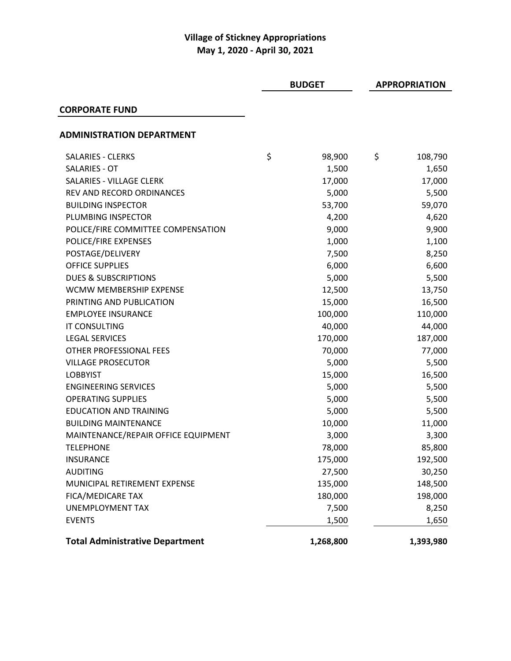|                                        | <b>BUDGET</b> |           | <b>APPROPRIATION</b> |           |
|----------------------------------------|---------------|-----------|----------------------|-----------|
| <b>CORPORATE FUND</b>                  |               |           |                      |           |
| <b>ADMINISTRATION DEPARTMENT</b>       |               |           |                      |           |
| <b>SALARIES - CLERKS</b>               | \$            | 98,900    | \$                   | 108,790   |
| SALARIES - OT                          |               | 1,500     |                      | 1,650     |
| <b>SALARIES - VILLAGE CLERK</b>        |               | 17,000    |                      | 17,000    |
| REV AND RECORD ORDINANCES              |               | 5,000     |                      | 5,500     |
| <b>BUILDING INSPECTOR</b>              |               | 53,700    |                      | 59,070    |
| PLUMBING INSPECTOR                     |               | 4,200     |                      | 4,620     |
| POLICE/FIRE COMMITTEE COMPENSATION     |               | 9,000     |                      | 9,900     |
| POLICE/FIRE EXPENSES                   |               | 1,000     |                      | 1,100     |
| POSTAGE/DELIVERY                       |               | 7,500     |                      | 8,250     |
| <b>OFFICE SUPPLIES</b>                 |               | 6,000     |                      | 6,600     |
| <b>DUES &amp; SUBSCRIPTIONS</b>        |               | 5,000     |                      | 5,500     |
| WCMW MEMBERSHIP EXPENSE                |               | 12,500    |                      | 13,750    |
| PRINTING AND PUBLICATION               |               | 15,000    |                      | 16,500    |
| <b>EMPLOYEE INSURANCE</b>              |               | 100,000   |                      | 110,000   |
| IT CONSULTING                          |               | 40,000    |                      | 44,000    |
| <b>LEGAL SERVICES</b>                  |               | 170,000   |                      | 187,000   |
| OTHER PROFESSIONAL FEES                |               | 70,000    |                      | 77,000    |
| <b>VILLAGE PROSECUTOR</b>              |               | 5,000     |                      | 5,500     |
| <b>LOBBYIST</b>                        |               | 15,000    |                      | 16,500    |
| <b>ENGINEERING SERVICES</b>            |               | 5,000     |                      | 5,500     |
| <b>OPERATING SUPPLIES</b>              |               | 5,000     |                      | 5,500     |
| <b>EDUCATION AND TRAINING</b>          |               | 5,000     |                      | 5,500     |
| <b>BUILDING MAINTENANCE</b>            |               | 10,000    |                      | 11,000    |
| MAINTENANCE/REPAIR OFFICE EQUIPMENT    |               | 3,000     |                      | 3,300     |
| <b>TELEPHONE</b>                       |               | 78,000    |                      | 85,800    |
| <b>INSURANCE</b>                       |               | 175,000   |                      | 192,500   |
| <b>AUDITING</b>                        |               | 27,500    |                      | 30,250    |
| MUNICIPAL RETIREMENT EXPENSE           |               | 135,000   |                      | 148,500   |
| FICA/MEDICARE TAX                      |               | 180,000   |                      | 198,000   |
| <b>UNEMPLOYMENT TAX</b>                |               | 7,500     |                      | 8,250     |
| <b>EVENTS</b>                          |               | 1,500     |                      | 1,650     |
| <b>Total Administrative Department</b> |               | 1,268,800 |                      | 1,393,980 |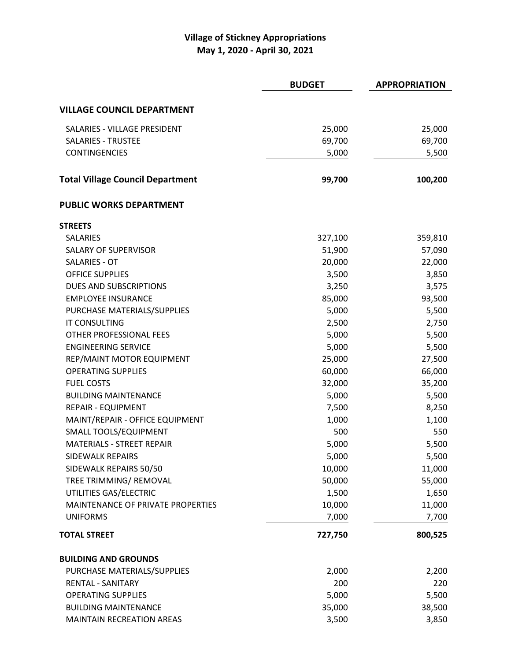|                                         | <b>BUDGET</b> | <b>APPROPRIATION</b> |
|-----------------------------------------|---------------|----------------------|
| <b>VILLAGE COUNCIL DEPARTMENT</b>       |               |                      |
| SALARIES - VILLAGE PRESIDENT            | 25,000        | 25,000               |
| <b>SALARIES - TRUSTEE</b>               | 69,700        | 69,700               |
| CONTINGENCIES                           | 5,000         | 5,500                |
| <b>Total Village Council Department</b> | 99,700        | 100,200              |
| <b>PUBLIC WORKS DEPARTMENT</b>          |               |                      |
| <b>STREETS</b>                          |               |                      |
| <b>SALARIES</b>                         | 327,100       | 359,810              |
| <b>SALARY OF SUPERVISOR</b>             | 51,900        | 57,090               |
| <b>SALARIES - OT</b>                    | 20,000        | 22,000               |
| <b>OFFICE SUPPLIES</b>                  | 3,500         | 3,850                |
| DUES AND SUBSCRIPTIONS                  | 3,250         | 3,575                |
| <b>EMPLOYEE INSURANCE</b>               | 85,000        | 93,500               |
| PURCHASE MATERIALS/SUPPLIES             | 5,000         | 5,500                |
| <b>IT CONSULTING</b>                    | 2,500         | 2,750                |
| OTHER PROFESSIONAL FEES                 | 5,000         | 5,500                |
| <b>ENGINEERING SERVICE</b>              | 5,000         | 5,500                |
| REP/MAINT MOTOR EQUIPMENT               | 25,000        | 27,500               |
| <b>OPERATING SUPPLIES</b>               | 60,000        | 66,000               |
| <b>FUEL COSTS</b>                       | 32,000        | 35,200               |
| <b>BUILDING MAINTENANCE</b>             | 5,000         | 5,500                |
| <b>REPAIR - EQUIPMENT</b>               | 7,500         | 8,250                |
| MAINT/REPAIR - OFFICE EQUIPMENT         | 1,000         | 1,100                |
| SMALL TOOLS/EQUIPMENT                   | 500           | 550                  |
| <b>MATERIALS - STREET REPAIR</b>        | 5,000         | 5,500                |
| <b>SIDEWALK REPAIRS</b>                 | 5,000         | 5,500                |
| SIDEWALK REPAIRS 50/50                  | 10,000        | 11,000               |
| TREE TRIMMING/ REMOVAL                  | 50,000        | 55,000               |
| UTILITIES GAS/ELECTRIC                  | 1,500         | 1,650                |
| MAINTENANCE OF PRIVATE PROPERTIES       | 10,000        | 11,000               |
| <b>UNIFORMS</b>                         | 7,000         | 7,700                |
| <b>TOTAL STREET</b>                     | 727,750       | 800,525              |
| <b>BUILDING AND GROUNDS</b>             |               |                      |
| PURCHASE MATERIALS/SUPPLIES             | 2,000         | 2,200                |
| <b>RENTAL - SANITARY</b>                | 200           | 220                  |
| <b>OPERATING SUPPLIES</b>               | 5,000         | 5,500                |
| <b>BUILDING MAINTENANCE</b>             | 35,000        | 38,500               |
| <b>MAINTAIN RECREATION AREAS</b>        | 3,500         | 3,850                |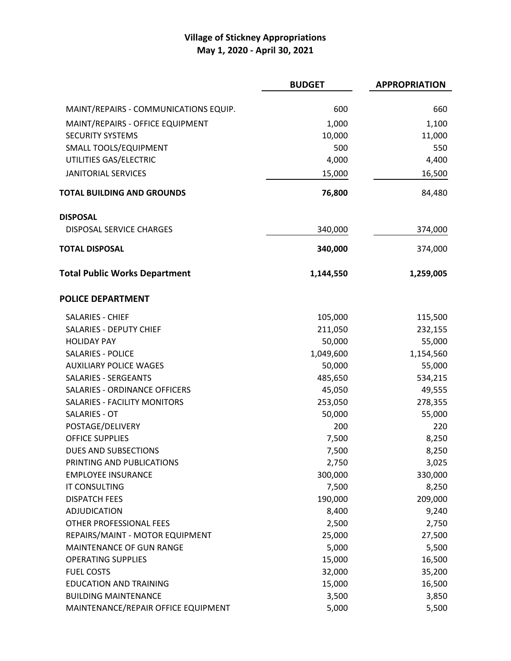|                                       | <b>BUDGET</b> | <b>APPROPRIATION</b> |
|---------------------------------------|---------------|----------------------|
|                                       |               |                      |
| MAINT/REPAIRS - COMMUNICATIONS EQUIP. | 600           | 660                  |
| MAINT/REPAIRS - OFFICE EQUIPMENT      | 1,000         | 1,100                |
| <b>SECURITY SYSTEMS</b>               | 10,000        | 11,000               |
| SMALL TOOLS/EQUIPMENT                 | 500           | 550                  |
| UTILITIES GAS/ELECTRIC                | 4,000         | 4,400                |
| <b>JANITORIAL SERVICES</b>            | 15,000        | 16,500               |
| <b>TOTAL BUILDING AND GROUNDS</b>     | 76,800        | 84,480               |
| <b>DISPOSAL</b>                       |               |                      |
| <b>DISPOSAL SERVICE CHARGES</b>       | 340,000       | 374,000              |
| <b>TOTAL DISPOSAL</b>                 | 340,000       | 374,000              |
| <b>Total Public Works Department</b>  | 1,144,550     | 1,259,005            |
| <b>POLICE DEPARTMENT</b>              |               |                      |
| <b>SALARIES - CHIEF</b>               | 105,000       | 115,500              |
| <b>SALARIES - DEPUTY CHIEF</b>        | 211,050       | 232,155              |
| <b>HOLIDAY PAY</b>                    | 50,000        | 55,000               |
| <b>SALARIES - POLICE</b>              | 1,049,600     | 1,154,560            |
| <b>AUXILIARY POLICE WAGES</b>         | 50,000        | 55,000               |
| <b>SALARIES - SERGEANTS</b>           | 485,650       | 534,215              |
| SALARIES - ORDINANCE OFFICERS         | 45,050        | 49,555               |
| <b>SALARIES - FACILITY MONITORS</b>   | 253,050       | 278,355              |
| <b>SALARIES - OT</b>                  | 50,000        | 55,000               |
| POSTAGE/DELIVERY                      | 200           | 220                  |
| <b>OFFICE SUPPLIES</b>                | 7,500         | 8,250                |
| DUES AND SUBSECTIONS                  | 7,500         | 8,250                |
| PRINTING AND PUBLICATIONS             | 2,750         | 3,025                |
| <b>EMPLOYEE INSURANCE</b>             | 300,000       | 330,000              |
| <b>IT CONSULTING</b>                  | 7,500         | 8,250                |
| <b>DISPATCH FEES</b>                  | 190,000       | 209,000              |
| <b>ADJUDICATION</b>                   | 8,400         | 9,240                |
| OTHER PROFESSIONAL FEES               | 2,500         | 2,750                |
| REPAIRS/MAINT - MOTOR EQUIPMENT       | 25,000        | 27,500               |
| MAINTENANCE OF GUN RANGE              | 5,000         | 5,500                |
| <b>OPERATING SUPPLIES</b>             | 15,000        | 16,500               |
| <b>FUEL COSTS</b>                     | 32,000        | 35,200               |
| <b>EDUCATION AND TRAINING</b>         | 15,000        | 16,500               |
| <b>BUILDING MAINTENANCE</b>           | 3,500         | 3,850                |
| MAINTENANCE/REPAIR OFFICE EQUIPMENT   | 5,000         | 5,500                |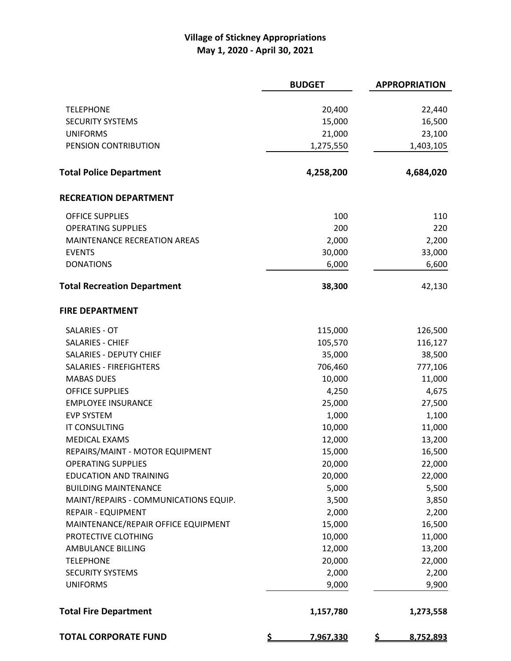|                                       | <b>BUDGET</b>          | <b>APPROPRIATION</b>   |
|---------------------------------------|------------------------|------------------------|
|                                       |                        |                        |
| <b>TELEPHONE</b>                      | 20,400                 | 22,440                 |
| <b>SECURITY SYSTEMS</b>               | 15,000                 | 16,500                 |
| <b>UNIFORMS</b>                       | 21,000                 | 23,100                 |
| PENSION CONTRIBUTION                  | 1,275,550              | 1,403,105              |
| <b>Total Police Department</b>        | 4,258,200              | 4,684,020              |
| <b>RECREATION DEPARTMENT</b>          |                        |                        |
| <b>OFFICE SUPPLIES</b>                | 100                    | 110                    |
| <b>OPERATING SUPPLIES</b>             | 200                    | 220                    |
| <b>MAINTENANCE RECREATION AREAS</b>   | 2,000                  | 2,200                  |
| <b>EVENTS</b>                         | 30,000                 | 33,000                 |
| <b>DONATIONS</b>                      | 6,000                  | 6,600                  |
| <b>Total Recreation Department</b>    | 38,300                 | 42,130                 |
| <b>FIRE DEPARTMENT</b>                |                        |                        |
| <b>SALARIES - OT</b>                  | 115,000                | 126,500                |
| <b>SALARIES - CHIEF</b>               | 105,570                | 116,127                |
| <b>SALARIES - DEPUTY CHIEF</b>        | 35,000                 | 38,500                 |
| SALARIES - FIREFIGHTERS               | 706,460                | 777,106                |
| <b>MABAS DUES</b>                     | 10,000                 | 11,000                 |
| <b>OFFICE SUPPLIES</b>                | 4,250                  | 4,675                  |
| <b>EMPLOYEE INSURANCE</b>             | 25,000                 | 27,500                 |
| <b>EVP SYSTEM</b>                     | 1,000                  | 1,100                  |
| <b>IT CONSULTING</b>                  | 10,000                 | 11,000                 |
| <b>MEDICAL EXAMS</b>                  | 12,000                 | 13,200                 |
| REPAIRS/MAINT - MOTOR EQUIPMENT       | 15,000                 | 16,500                 |
| <b>OPERATING SUPPLIES</b>             | 20,000                 | 22,000                 |
| <b>EDUCATION AND TRAINING</b>         | 20,000                 | 22,000                 |
| <b>BUILDING MAINTENANCE</b>           | 5,000                  | 5,500                  |
| MAINT/REPAIRS - COMMUNICATIONS EQUIP. | 3,500                  | 3,850                  |
| <b>REPAIR - EQUIPMENT</b>             | 2,000                  | 2,200                  |
| MAINTENANCE/REPAIR OFFICE EQUIPMENT   | 15,000                 | 16,500                 |
| PROTECTIVE CLOTHING                   | 10,000                 | 11,000                 |
| <b>AMBULANCE BILLING</b>              | 12,000                 | 13,200                 |
| <b>TELEPHONE</b>                      | 20,000                 | 22,000                 |
| <b>SECURITY SYSTEMS</b>               | 2,000                  | 2,200                  |
| <b>UNIFORMS</b>                       | 9,000                  | 9,900                  |
| <b>Total Fire Department</b>          | 1,157,780              | 1,273,558              |
| <b>TOTAL CORPORATE FUND</b>           | <u>\$</u><br>7,967,330 | <u>\$</u><br>8,752,893 |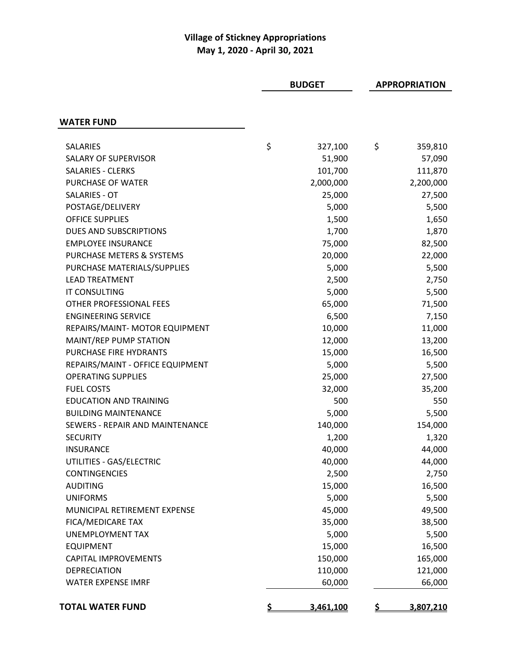|                                      | <b>BUDGET</b> |           | <b>APPROPRIATION</b> |           |
|--------------------------------------|---------------|-----------|----------------------|-----------|
|                                      |               |           |                      |           |
| <b>WATER FUND</b>                    |               |           |                      |           |
| <b>SALARIES</b>                      | \$            | 327,100   | \$                   | 359,810   |
| <b>SALARY OF SUPERVISOR</b>          |               | 51,900    |                      | 57,090    |
| <b>SALARIES - CLERKS</b>             |               | 101,700   |                      | 111,870   |
| PURCHASE OF WATER                    |               | 2,000,000 |                      | 2,200,000 |
| <b>SALARIES - OT</b>                 |               | 25,000    |                      | 27,500    |
| POSTAGE/DELIVERY                     |               | 5,000     |                      | 5,500     |
| <b>OFFICE SUPPLIES</b>               |               | 1,500     |                      | 1,650     |
| DUES AND SUBSCRIPTIONS               |               | 1,700     |                      | 1,870     |
| <b>EMPLOYEE INSURANCE</b>            |               | 75,000    |                      | 82,500    |
| <b>PURCHASE METERS &amp; SYSTEMS</b> |               | 20,000    |                      | 22,000    |
| PURCHASE MATERIALS/SUPPLIES          |               | 5,000     |                      | 5,500     |
| <b>LEAD TREATMENT</b>                |               | 2,500     |                      | 2,750     |
| <b>IT CONSULTING</b>                 |               | 5,000     |                      | 5,500     |
| OTHER PROFESSIONAL FEES              |               | 65,000    |                      | 71,500    |
| <b>ENGINEERING SERVICE</b>           |               | 6,500     |                      | 7,150     |
| REPAIRS/MAINT- MOTOR EQUIPMENT       |               | 10,000    |                      | 11,000    |
| MAINT/REP PUMP STATION               |               | 12,000    |                      | 13,200    |
| PURCHASE FIRE HYDRANTS               |               | 15,000    |                      | 16,500    |
| REPAIRS/MAINT - OFFICE EQUIPMENT     |               | 5,000     |                      | 5,500     |
| <b>OPERATING SUPPLIES</b>            |               | 25,000    |                      | 27,500    |
| <b>FUEL COSTS</b>                    |               | 32,000    |                      | 35,200    |
| <b>EDUCATION AND TRAINING</b>        |               | 500       |                      | 550       |
| <b>BUILDING MAINTENANCE</b>          |               | 5,000     |                      | 5,500     |
| SEWERS - REPAIR AND MAINTENANCE      |               | 140,000   |                      | 154,000   |
| <b>SECURITY</b>                      |               | 1,200     |                      | 1,320     |
| INSURANCE                            |               | 40,000    |                      | 44,000    |
| UTILITIES - GAS/ELECTRIC             |               | 40,000    |                      | 44,000    |
| <b>CONTINGENCIES</b>                 |               | 2,500     |                      | 2,750     |
| <b>AUDITING</b>                      |               | 15,000    |                      | 16,500    |
| <b>UNIFORMS</b>                      |               | 5,000     |                      | 5,500     |
| MUNICIPAL RETIREMENT EXPENSE         |               | 45,000    |                      | 49,500    |
| FICA/MEDICARE TAX                    |               | 35,000    |                      | 38,500    |
| <b>UNEMPLOYMENT TAX</b>              |               | 5,000     |                      | 5,500     |
| <b>EQUIPMENT</b>                     |               | 15,000    |                      | 16,500    |
| <b>CAPITAL IMPROVEMENTS</b>          |               | 150,000   |                      | 165,000   |
| <b>DEPRECIATION</b>                  |               | 110,000   |                      | 121,000   |
| <b>WATER EXPENSE IMRF</b>            |               | 60,000    |                      | 66,000    |
| <b>TOTAL WATER FUND</b>              | S             | 3,461,100 | S                    | 3,807,210 |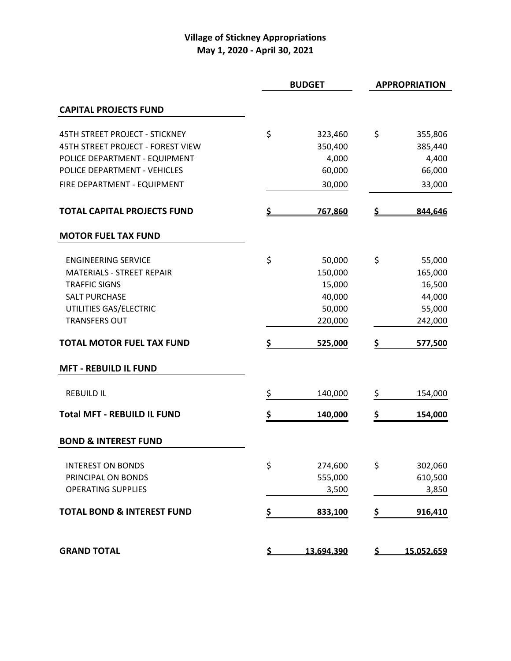| <b>BUDGET</b>                         |           |            | <b>APPROPRIATION</b> |                |
|---------------------------------------|-----------|------------|----------------------|----------------|
| <b>CAPITAL PROJECTS FUND</b>          |           |            |                      |                |
| <b>45TH STREET PROJECT - STICKNEY</b> | \$        | 323,460    | \$                   | 355,806        |
| 45TH STREET PROJECT - FOREST VIEW     |           | 350,400    |                      | 385,440        |
| POLICE DEPARTMENT - EQUIPMENT         |           | 4,000      |                      | 4,400          |
| POLICE DEPARTMENT - VEHICLES          |           | 60,000     |                      | 66,000         |
| FIRE DEPARTMENT - EQUIPMENT           |           | 30,000     |                      | 33,000         |
| <b>TOTAL CAPITAL PROJECTS FUND</b>    | S         | 767,860    | <u>\$</u>            | 844,646        |
| <b>MOTOR FUEL TAX FUND</b>            |           |            |                      |                |
| <b>ENGINEERING SERVICE</b>            | \$        | 50,000     | \$                   | 55,000         |
| <b>MATERIALS - STREET REPAIR</b>      |           | 150,000    |                      | 165,000        |
| <b>TRAFFIC SIGNS</b>                  |           | 15,000     |                      | 16,500         |
| <b>SALT PURCHASE</b>                  |           | 40,000     |                      | 44,000         |
| UTILITIES GAS/ELECTRIC                |           | 50,000     |                      | 55,000         |
| <b>TRANSFERS OUT</b>                  |           | 220,000    |                      | 242,000        |
| <b>TOTAL MOTOR FUEL TAX FUND</b>      | Ś         | 525,000    | \$                   | <u>577,500</u> |
| <b>MFT - REBUILD IL FUND</b>          |           |            |                      |                |
| <b>REBUILD IL</b>                     | \$        | 140,000    | \$                   | 154,000        |
| <b>Total MFT - REBUILD IL FUND</b>    | \$        | 140,000    | \$                   | 154,000        |
| <b>BOND &amp; INTEREST FUND</b>       |           |            |                      |                |
| <b>INTEREST ON BONDS</b>              | \$        | 274,600    | \$                   | 302,060        |
| PRINCIPAL ON BONDS                    |           | 555,000    |                      | 610,500        |
| <b>OPERATING SUPPLIES</b>             |           | 3,500      |                      | 3,850          |
| <b>TOTAL BOND &amp; INTEREST FUND</b> | \$        | 833,100    | \$                   | 916,410        |
| <b>GRAND TOTAL</b>                    | <u>\$</u> | 13,694,390 | <u>\$</u>            | 15,052,659     |